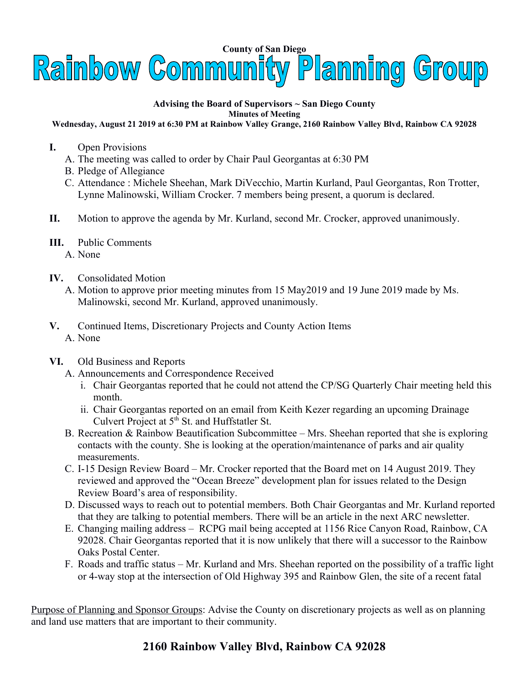

## **Advising the Board of Supervisors ~ San Diego County Minutes of Meeting**

## **Wednesday, August 21 2019 at 6:30 PM at Rainbow Valley Grange, 2160 Rainbow Valley Blvd, Rainbow CA 92028**

- **I.** Open Provisions
	- A. The meeting was called to order by Chair Paul Georgantas at 6:30 PM
	- B. Pledge of Allegiance
	- C. Attendance : Michele Sheehan, Mark DiVecchio, Martin Kurland, Paul Georgantas, Ron Trotter, Lynne Malinowski, William Crocker. 7 members being present, a quorum is declared.
- **II.** Motion to approve the agenda by Mr. Kurland, second Mr. Crocker, approved unanimously.
- **III.** Public Comments
	- A. None
- **IV.** Consolidated Motion
	- A. Motion to approve prior meeting minutes from 15 May2019 and 19 June 2019 made by Ms. Malinowski, second Mr. Kurland, approved unanimously.
- **V.** Continued Items, Discretionary Projects and County Action Items A. None
- **VI.** Old Business and Reports
	- A. Announcements and Correspondence Received
		- i. Chair Georgantas reported that he could not attend the CP/SG Quarterly Chair meeting held this month.
		- ii. Chair Georgantas reported on an email from Keith Kezer regarding an upcoming Drainage Culvert Project at  $5<sup>th</sup>$  St. and Huffstatler St.
	- B. Recreation & Rainbow Beautification Subcommittee Mrs. Sheehan reported that she is exploring contacts with the county. She is looking at the operation/maintenance of parks and air quality measurements.
	- C. I-15 Design Review Board Mr. Crocker reported that the Board met on 14 August 2019. They reviewed and approved the "Ocean Breeze" development plan for issues related to the Design Review Board's area of responsibility.
	- D. Discussed ways to reach out to potential members. Both Chair Georgantas and Mr. Kurland reported that they are talking to potential members. There will be an article in the next ARC newsletter.
	- E. Changing mailing address RCPG mail being accepted at 1156 Rice Canyon Road, Rainbow, CA 92028. Chair Georgantas reported that it is now unlikely that there will a successor to the Rainbow Oaks Postal Center.
	- F. Roads and traffic status Mr. Kurland and Mrs. Sheehan reported on the possibility of a traffic light or 4-way stop at the intersection of Old Highway 395 and Rainbow Glen, the site of a recent fatal

Purpose of Planning and Sponsor Groups: Advise the County on discretionary projects as well as on planning and land use matters that are important to their community.

## **2160 Rainbow Valley Blvd, Rainbow CA 92028**